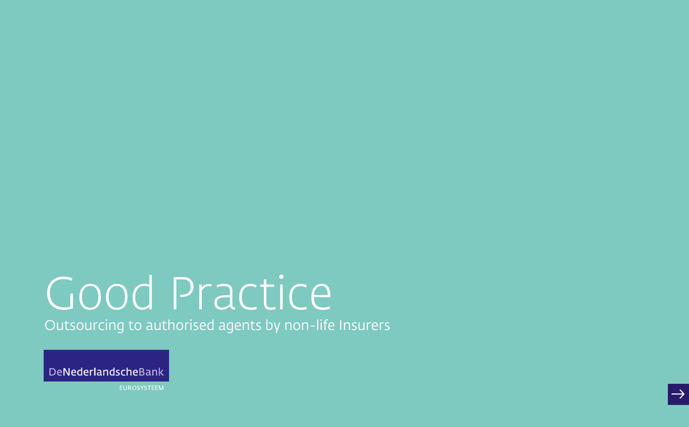# Good Practice

Outsourcing to authorised agents by non-life Insurers



**EUROSYSTEEM**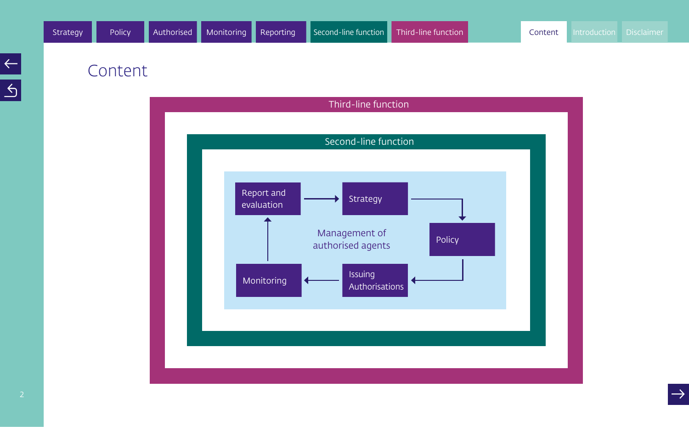## Content

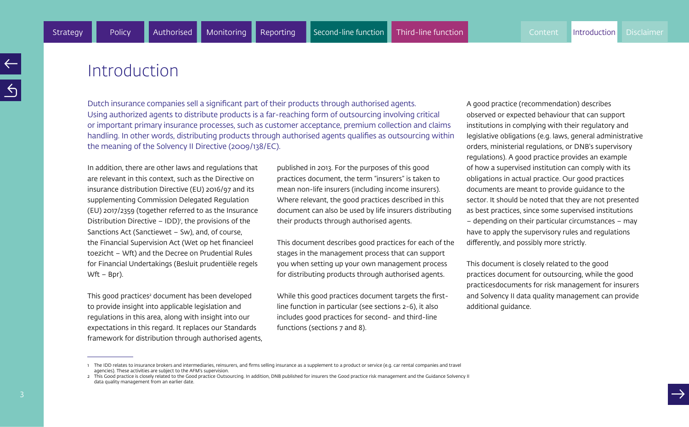## **Introduction**

Dutch insurance companies sell a significant part of their products through authorised agents. Using authorized agents to distribute products is a far-reaching form of outsourcing involving critical or important primary insurance processes, such as customer acceptance, premium collection and claims handling. In other words, distributing products through authorised agents qualifies as outsourcing within the meaning of the Solvency II Directive (2009/138/EC).

In addition, there are other laws and regulations that are relevant in this context, such as the Directive on insurance distribution Directive (EU) 2016/97 and its supplementing Commission Delegated Regulation (EU) 2017/2359 (together referred to as the Insurance Distribution Directive  $-$  IDD)<sup> $\prime$ </sup>, the provisions of the Sanctions Act (Sanctiewet – Sw), and, of course, the Financial Supervision Act (Wet op het financieel toezicht – Wft) and the Decree on Prudential Rules for Financial Undertakings (Besluit prudentiële regels Wft – Bpr).

This good practices<sup>2</sup> document has been developed to provide insight into applicable legislation and regulations in this area, along with insight into our expectations in this regard. It replaces our Standards framework for distribution through authorised agents, published in 2013. For the purposes of this good practices document, the term "insurers" is taken to mean non-life insurers (including income insurers). Where relevant, the good practices described in this document can also be used by life insurers distributing their products through authorised agents.

This document describes good practices for each of the stages in the management process that can support you when setting up your own management process for distributing products through authorised agents.

While this good practices document targets the firstline function in particular (see sections 2-6), it also includes good practices for second- and third-line functions (sections 7 and 8).

A good practice (recommendation) describes observed or expected behaviour that can support institutions in complying with their regulatory and legislative obligations (e.g. laws, general administrative orders, ministerial regulations, or DNB's supervisory regulations). A good practice provides an example of how a supervised institution can comply with its obligations in actual practice. Our good practices documents are meant to provide guidance to the sector. It should be noted that they are not presented as best practices, since some supervised institutions – depending on their particular circumstances – may have to apply the supervisory rules and regulations differently, and possibly more strictly.

This document is closely related to the good practices document for outsourcing, while the good practicesdocuments for risk management for insurers and Solvency II data quality management can provide additional guidance.

<sup>1</sup> The IDD relates to insurance brokers and intermediaries, reinsurers, and firms selling insurance as a supplement to a product or service (e.g. car rental companies and travel agencies). These activities are subject to the AFM's supervision.

<sup>2</sup> This Good practice is closely related to the Good practice Outsourcing. In addition, DNB published for insurers the Good practice risk management and the Guidance Solvency II data quality management from an earlier date.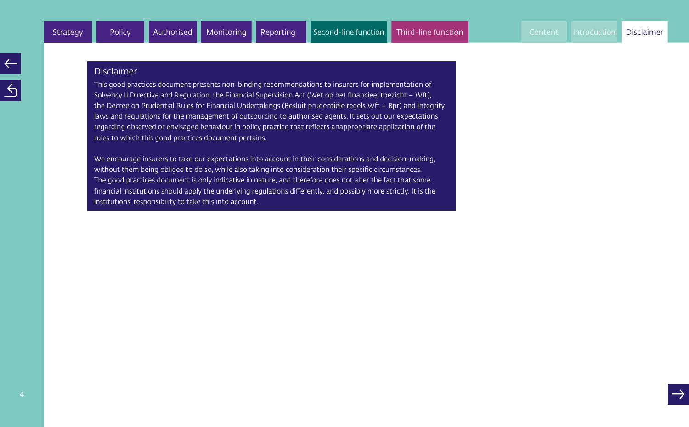#### Disclaimer

This good practices document presents non-binding recommendations to insurers for implementation of Solvency II Directive and Regulation, the Financial Supervision Act (Wet op het financieel toezicht – Wft), the Decree on Prudential Rules for Financial Undertakings (Besluit prudentiële regels Wft – Bpr) and integrity laws and regulations for the management of outsourcing to authorised agents. It sets out our expectations regarding observed or envisaged behaviour in policy practice that reflects anappropriate application of the rules to which this good practices document pertains.

We encourage insurers to take our expectations into account in their considerations and decision-making, without them being obliged to do so, while also taking into consideration their specific circumstances. The good practices document is only indicative in nature, and therefore does not alter the fact that some financial institutions should apply the underlying regulations differently, and possibly more strictly. It is the institutions' responsibility to take this into account.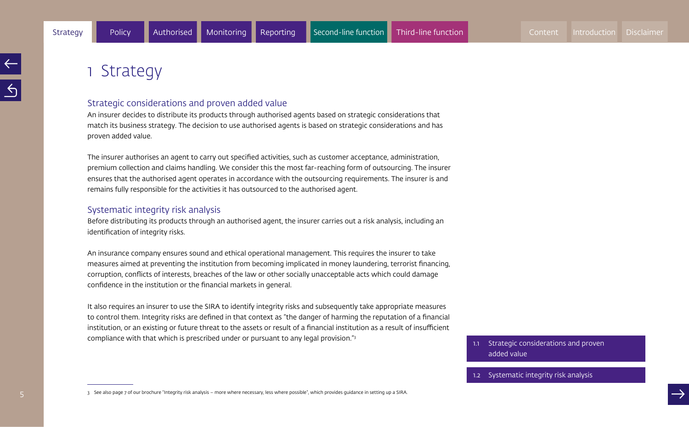## 1 Strategy

#### Strategic considerations and proven added value

An insurer decides to distribute its products through authorised agents based on strategic considerations that match its business strategy. The decision to use authorised agents is based on strategic considerations and has proven added value.

The insurer authorises an agent to carry out specified activities, such as customer acceptance, administration, premium collection and claims handling. We consider this the most far-reaching form of outsourcing. The insurer ensures that the authorised agent operates in accordance with the outsourcing requirements. The insurer is and remains fully responsible for the activities it has outsourced to the authorised agent.

#### Systematic integrity risk analysis

Before distributing its products through an authorised agent, the insurer carries out a risk analysis, including an identification of integrity risks.

An insurance company ensures sound and ethical operational management. This requires the insurer to take measures aimed at preventing the institution from becoming implicated in money laundering, terrorist financing, corruption, conflicts of interests, breaches of the law or other socially unacceptable acts which could damage confidence in the institution or the financial markets in general.

It also requires an insurer to use the SIRA to identify integrity risks and subsequently take appropriate measures to control them. Integrity risks are defined in that context as "the danger of harming the reputation of a financial institution, or an existing or future threat to the assets or result of a financial institution as a result of insufficient compliance with that which is prescribed under or pursuant to any legal provision."3

1.1 Strategic considerations and proven added value<br>1.2 Systematic integrity risk analysis

3 See also page 7 of our brochure "Integrity risk analysis – more where necessary, less where possible", which provides guidance in setting up a SIRA.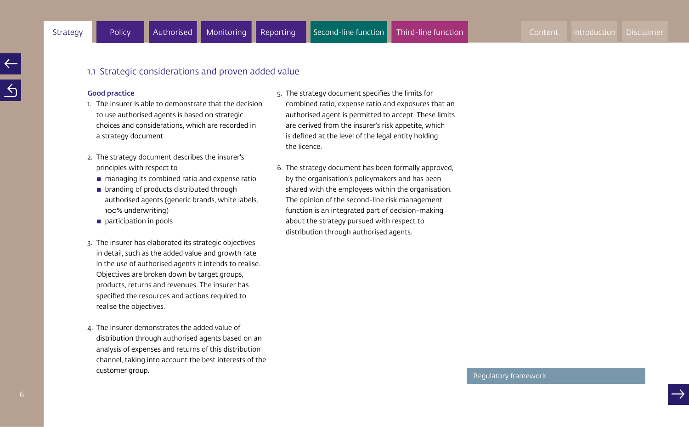#### 1.1 Strategic considerations and proven added value

#### Good practice

- 1. The insurer is able to demonstrate that the decision to use authorised agents is based on strategic choices and considerations, which are recorded in a strategy document.
- 2. The strategy document describes the insurer's principles with respect to
	- $\blacksquare$  managing its combined ratio and expense ratio
	- $\blacksquare$  branding of products distributed through authorised agents (generic brands, white labels, 100% underwriting)
	- $\blacksquare$  participation in pools
- 3. The insurer has elaborated its strategic objectives in detail, such as the added value and growth rate in the use of authorised agents it intends to realise. Objectives are broken down by target groups, products, returns and revenues. The insurer has specified the resources and actions required to realise the objectives.
- 4. The insurer demonstrates the added value of distribution through authorised agents based on an analysis of expenses and returns of this distribution channel, taking into account the best interests of the customer group.
- 5. The strategy document specifies the limits for combined ratio, expense ratio and exposures that an authorised agent is permitted to accept. These limits are derived from the insurer's risk appetite, which is defined at the level of the legal entity holding the licence.
- 6. The strategy document has been formally approved, by the organisation's policymakers and has been shared with the employees within the organisation. The opinion of the second-line risk management function is an integrated part of decision-making about the strategy pursued with respect to distribution through authorised agents.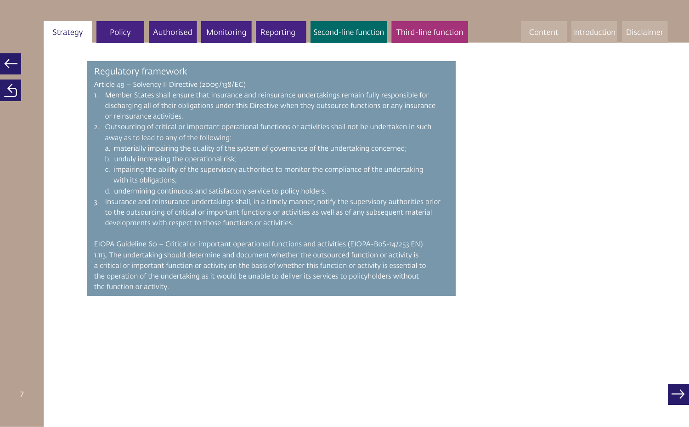7

#### Regulatory framework

Article 49 – Solvency II Directive (2009/138/EC)

- 1. Member States shall ensure that insurance and reinsurance undertakings remain fully responsible for discharging all of their obligations under this Directive when they outsource functions or any insurance or reinsurance activities.
- 2. Outsourcing of critical or important operational functions or activities shall not be undertaken in such away as to lead to any of the following:
	- a. materially impairing the quality of the system of governance of the undertaking concerned;
	- b. unduly increasing the operational risk;
	- c. impairing the ability of the supervisory authorities to monitor the compliance of the undertaking with its obligations;
	- d. undermining continuous and satisfactory service to policy holders.
- 3. Insurance and reinsurance undertakings shall, in a timely manner, notify the supervisory authorities prior to the outsourcing of critical or important functions or activities as well as of any subsequent material developments with respect to those functions or activities.

EIOPA Guideline 60 – Critical or important operational functions and activities (EIOPA-BoS-14/253 EN) 1.113. The undertaking should determine and document whether the outsourced function or activity is a critical or important function or activity on the basis of whether this function or activity is essential to the operation of the undertaking as it would be unable to deliver its services to policyholders without the function or activity.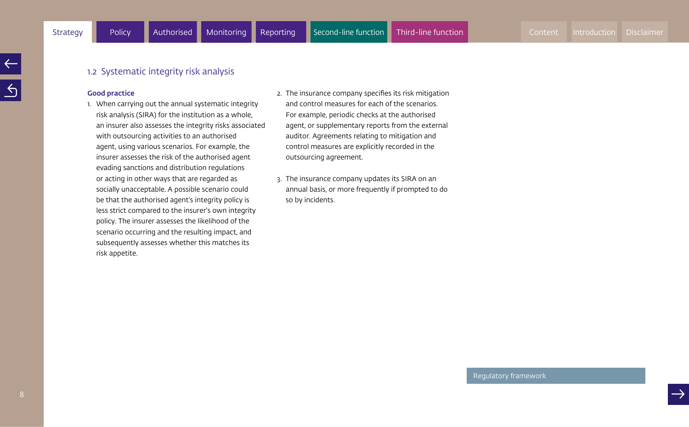#### 1.2 Systematic integrity risk analysis

#### Good practice

- 1. When carrying out the annual systematic integrity risk analysis (SIRA) for the institution as a whole, an insurer also assesses the integrity risks associated with outsourcing activities to an authorised agent, using various scenarios. For example, the insurer assesses the risk of the authorised agent evading sanctions and distribution regulations or acting in other ways that are regarded as socially unacceptable. A possible scenario could be that the authorised agent's integrity policy is less strict compared to the insurer's own integrity policy. The insurer assesses the likelihood of the scenario occurring and the resulting impact, and subsequently assesses whether this matches its risk appetite.
- 2. The insurance company specifies its risk mitigation and control measures for each of the scenarios. For example, periodic checks at the authorised agent, or supplementary reports from the external auditor. Agreements relating to mitigation and control measures are explicitly recorded in the outsourcing agreement.
- 3. The insurance company updates its SIRA on an annual basis, or more frequently if prompted to do so by incidents.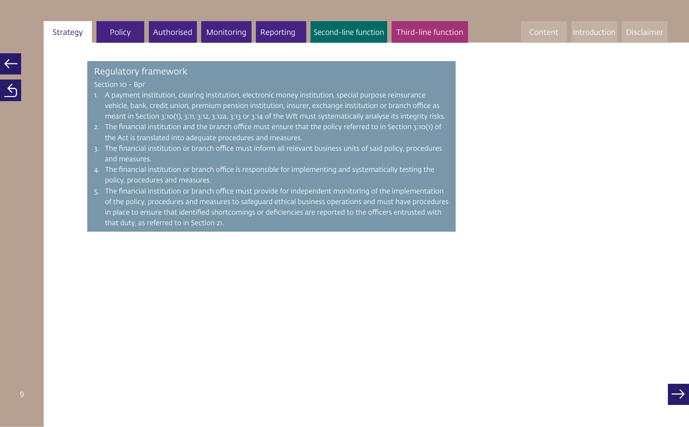Section 10 - Bpr

- 1. A payment institution, clearing institution, electronic money institution, special purpose reinsurance vehicle, bank, credit union, premium pension institution, insurer, exchange institution or branch office as meant in Section 3:10(1), 3:11, 3:12, 3:12a, 3:13 or 3:14 of the Wft must systematically analyse its integrity risks.
- 2. The financial institution and the branch office must ensure that the policy referred to in Section 3:10(1) of the Act is translated into adequate procedures and measures.
- 3. The financial institution or branch office must inform all relevant business units of said policy, procedures and measures.
- 4. The financial institution or branch office is responsible for implementing and systematically testing the policy, procedures and measures.
- 5. The financial institution or branch office must provide for independent monitoring of the implementation of the policy, procedures and measures to safeguard ethical business operations and must have procedures in place to ensure that identified shortcomings or deficiencies are reported to the officers entrusted with that duty, as referred to in Section 21.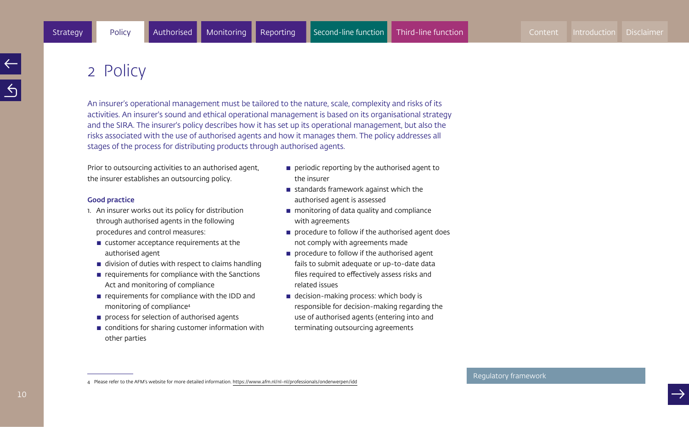## 2 Policy

An insurer's operational management must be tailored to the nature, scale, complexity and risks of its activities. An insurer's sound and ethical operational management is based on its organisational strategy and the SIRA. The insurer's policy describes how it has set up its operational management, but also the risks associated with the use of authorised agents and how it manages them. The policy addresses all stages of the process for distributing products through authorised agents.

Prior to outsourcing activities to an authorised agent, the insurer establishes an outsourcing policy.

#### Good practice

- 1. An insurer works out its policy for distribution through authorised agents in the following procedures and control measures:
	- $\blacksquare$  customer acceptance requirements at the authorised agent
	- $\blacksquare$  division of duties with respect to claims handling
	- $\blacksquare$  requirements for compliance with the Sanctions Act and monitoring of compliance
	- $\blacksquare$  requirements for compliance with the IDD and monitoring of compliance4
	- **perocess for selection of authorised agents**
	- $\blacksquare$  conditions for sharing customer information with other parties
- $\blacksquare$  periodic reporting by the authorised agent to the insurer
- $\blacksquare$  standards framework against which the authorised agent is assessed
- $\blacksquare$  monitoring of data quality and compliance with agreements
- $\blacksquare$  procedure to follow if the authorised agent does not comply with agreements made
- $\blacksquare$  procedure to follow if the authorised agent fails to submit adequate or up-to-date data files required to effectively assess risks and related issues
- $\blacksquare$  decision-making process: which body is responsible for decision-making regarding the use of authorised agents (entering into and terminating outsourcing agreements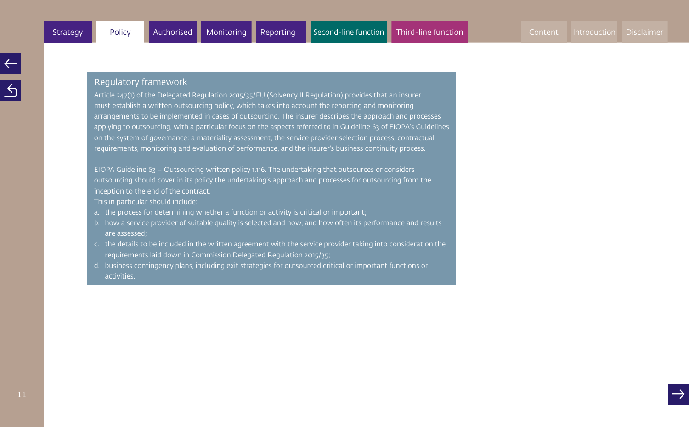Article 247(1) of the Delegated Regulation 2015/35/EU (Solvency II Regulation) provides that an insurer must establish a written outsourcing policy, which takes into account the reporting and monitoring arrangements to be implemented in cases of outsourcing. The insurer describes the approach and processes applying to outsourcing, with a particular focus on the aspects referred to in Guideline 63 of EIOPA's Guidelines on the system of governance: a materiality assessment, the service provider selection process, contractual requirements, monitoring and evaluation of performance, and the insurer's business continuity process.

EIOPA Guideline 63 – Outsourcing written policy 1.116. The undertaking that outsources or considers outsourcing should cover in its policy the undertaking's approach and processes for outsourcing from the inception to the end of the contract.

This in particular should include:

- a. the process for determining whether a function or activity is critical or important;
- b. how a service provider of suitable quality is selected and how, and how often its performance and results are assessed;
- c. the details to be included in the written agreement with the service provider taking into consideration the requirements laid down in Commission Delegated Regulation 2015/35;
- d. business contingency plans, including exit strategies for outsourced critical or important functions or activities.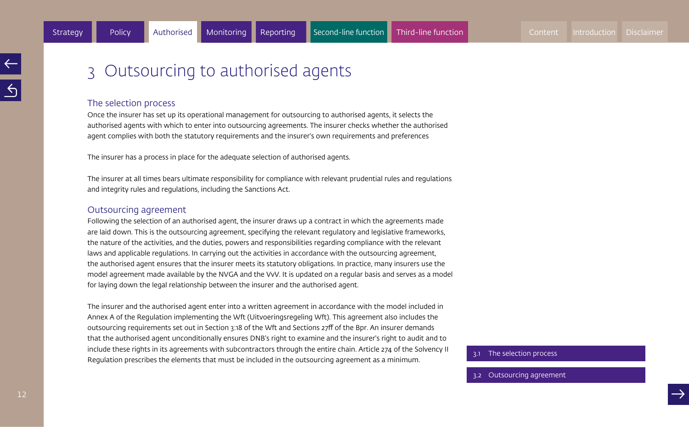## 3 Outsourcing to authorised agents

#### The selection process

Once the insurer has set up its operational management for outsourcing to authorised agents, it selects the authorised agents with which to enter into outsourcing agreements. The insurer checks whether the authorised agent complies with both the statutory requirements and the insurer's own requirements and preferences

The insurer has a process in place for the adequate selection of authorised agents.

The insurer at all times bears ultimate responsibility for compliance with relevant prudential rules and regulations and integrity rules and regulations, including the Sanctions Act.

#### Outsourcing agreement

Following the selection of an authorised agent, the insurer draws up a contract in which the agreements made are laid down. This is the outsourcing agreement, specifying the relevant regulatory and legislative frameworks, the nature of the activities, and the duties, powers and responsibilities regarding compliance with the relevant laws and applicable regulations. In carrying out the activities in accordance with the outsourcing agreement, the authorised agent ensures that the insurer meets its statutory obligations. In practice, many insurers use the model agreement made available by the NVGA and the VvV. It is updated on a regular basis and serves as a model for laying down the legal relationship between the insurer and the authorised agent.

The insurer and the authorised agent enter into a written agreement in accordance with the model included in Annex A of the Regulation implementing the Wft (Uitvoeringsregeling Wft). This agreement also includes the outsourcing requirements set out in Section 3:18 of the Wft and Sections 27ff of the Bpr. An insurer demands that the authorised agent unconditionally ensures DNB's right to examine and the insurer's right to audit and to include these rights in its agreements with subcontractors through the entire chain. Article 274 of the Solvency II Regulation prescribes the elements that must be included in the outsourcing agreement as a minimum.

3.1 The selection process

#### 3.2 Outsourcing agreement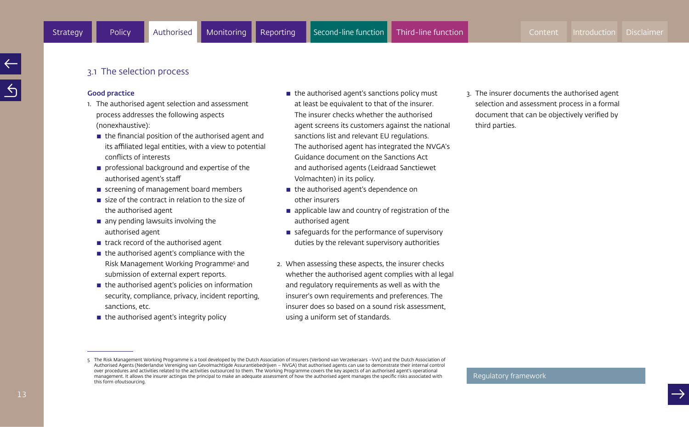#### 3.1 The selection process

#### Good practice

- 1. The authorised agent selection and assessment process addresses the following aspects (nonexhaustive):
	- $\blacksquare$  the financial position of the authorised agent and its affiliated legal entities, with a view to potential conflicts of interests
	- $\blacksquare$  professional background and expertise of the authorised agent's staff
	- screening of management board members
	- $\blacksquare$  size of the contract in relation to the size of the authorised agent
	- $\blacksquare$  any pending lawsuits involving the authorised agent
	- $\blacksquare$  track record of the authorised agent
	- $\blacksquare$  the authorised agent's compliance with the Risk Management Working Programme5 and submission of external expert reports.
	- $\blacksquare$  the authorised agent's policies on information security, compliance, privacy, incident reporting, sanctions, etc.
	- $\blacksquare$  the authorised agent's integrity policy
- $\blacksquare$  the authorised agent's sanctions policy must at least be equivalent to that of the insurer. The insurer checks whether the authorised agent screens its customers against the national sanctions list and relevant EU regulations. The authorised agent has integrated the NVGA's Guidance document on the Sanctions Act and authorised agents (Leidraad Sanctiewet Volmachten) in its policy.
- $\blacksquare$  the authorised agent's dependence on other insurers
- $\blacksquare$  applicable law and country of registration of the authorised agent
- $\blacksquare$  safeguards for the performance of supervisory duties by the relevant supervisory authorities
- 2. When assessing these aspects, the insurer checks whether the authorised agent complies with al legal and regulatory requirements as well as with the insurer's own requirements and preferences. The insurer does so based on a sound risk assessment, using a uniform set of standards.

3. The insurer documents the authorised agent selection and assessment process in a formal document that can be objectively verified by third parties.

<sup>5</sup> The Risk Management Working Programme is a tool developed by the Dutch Association of Insurers (Verbond van Verzekeraars -VvV) and the Dutch Association of Authorised Agents (Nederlandse Vereniging van Gevolmachtigde Assurantiebedrijven – NVGA) that authorised agents can use to demonstrate their internal control over procedures and activities related to the activities outsourced to them. The Working Programme covers the key aspects of an authorised agent's operational management. It allows the insurer actingas the principal to make an adequate assessment of how the authorised agent manages the specific risks associated with this form ofoutsourcing.

Regulatory framework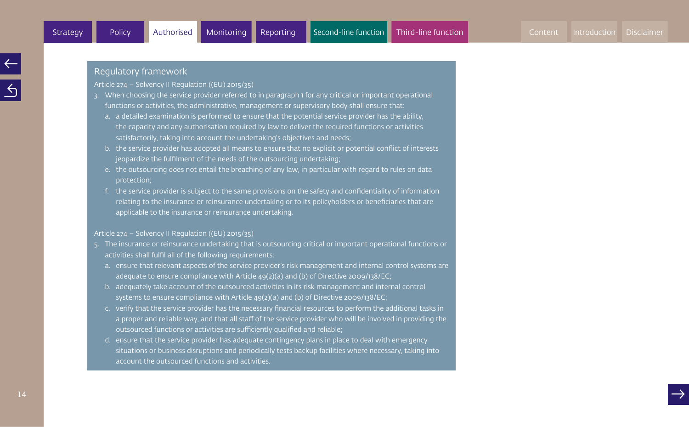Article 274 – Solvency II Regulation ((EU) 2015/35)

- 3. When choosing the service provider referred to in paragraph 1 for any critical or important operational functions or activities, the administrative, management or supervisory body shall ensure that:
	- a. a detailed examination is performed to ensure that the potential service provider has the ability, the capacity and any authorisation required by law to deliver the required functions or activities satisfactorily, taking into account the undertaking's objectives and needs;
	- b. the service provider has adopted all means to ensure that no explicit or potential conflict of interests jeopardize the fulfilment of the needs of the outsourcing undertaking;
	- e. the outsourcing does not entail the breaching of any law, in particular with regard to rules on data protection;
	- f. the service provider is subject to the same provisions on the safety and confidentiality of information relating to the insurance or reinsurance undertaking or to its policyholders or beneficiaries that are applicable to the insurance or reinsurance undertaking.

#### Article 274 – Solvency II Regulation ((EU) 2015/35)

- 5. The insurance or reinsurance undertaking that is outsourcing critical or important operational functions or activities shall fulfil all of the following requirements:
	- a. ensure that relevant aspects of the service provider's risk management and internal control systems are adequate to ensure compliance with Article 49(2)(a) and (b) of Directive 2009/138/EC;
	- b. adequately take account of the outsourced activities in its risk management and internal control systems to ensure compliance with Article 49(2)(a) and (b) of Directive 2009/138/EC;
	- c. verify that the service provider has the necessary financial resources to perform the additional tasks in a proper and reliable way, and that all staff of the service provider who will be involved in providing the outsourced functions or activities are sufficiently qualified and reliable;
	- d. ensure that the service provider has adequate contingency plans in place to deal with emergency situations or business disruptions and periodically tests backup facilities where necessary, taking into account the outsourced functions and activities.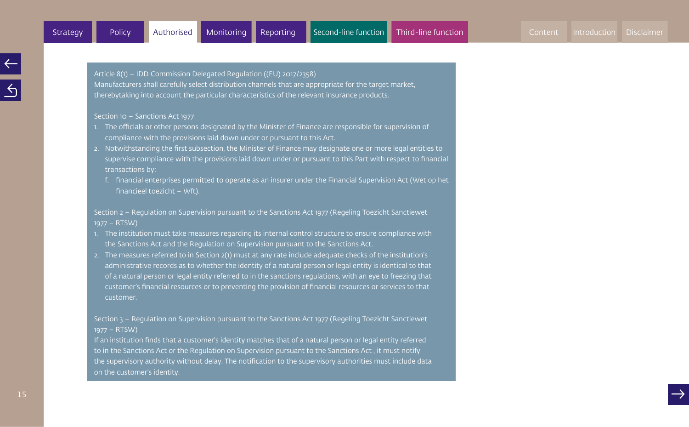Article 8(1) – IDD Commission Delegated Regulation ((EU) 2017/2358) Manufacturers shall carefully select distribution channels that are appropriate for the target market, therebytaking into account the particular characteristics of the relevant insurance products.

#### Section 10 – Sanctions Act 1977

- 1. The officials or other persons designated by the Minister of Finance are responsible for supervision of compliance with the provisions laid down under or pursuant to this Act.
- 2. Notwithstanding the first subsection, the Minister of Finance may designate one or more legal entities to supervise compliance with the provisions laid down under or pursuant to this Part with respect to financial transactions by:
	- f. financial enterprises permitted to operate as an insurer under the Financial Supervision Act (Wet op het financieel toezicht – Wft).

Section 2 – Regulation on Supervision pursuant to the Sanctions Act 1977 (Regeling Toezicht Sanctiewet 1977 – RTSW)

- 1. The institution must take measures regarding its internal control structure to ensure compliance with the Sanctions Act and the Regulation on Supervision pursuant to the Sanctions Act.
- 2. The measures referred to in Section 2(1) must at any rate include adequate checks of the institution's administrative records as to whether the identity of a natural person or legal entity is identical to that of a natural person or legal entity referred to in the sanctions regulations, with an eye to freezing that customer's financial resources or to preventing the provision of financial resources or services to that customer.

Section 3 – Regulation on Supervision pursuant to the Sanctions Act 1977 (Regeling Toezicht Sanctiewet 1977 – RTSW)

If an institution finds that a customer's identity matches that of a natural person or legal entity referred to in the Sanctions Act or the Regulation on Supervision pursuant to the Sanctions Act , it must notify the supervisory authority without delay. The notification to the supervisory authorities must include data on the customer's identity.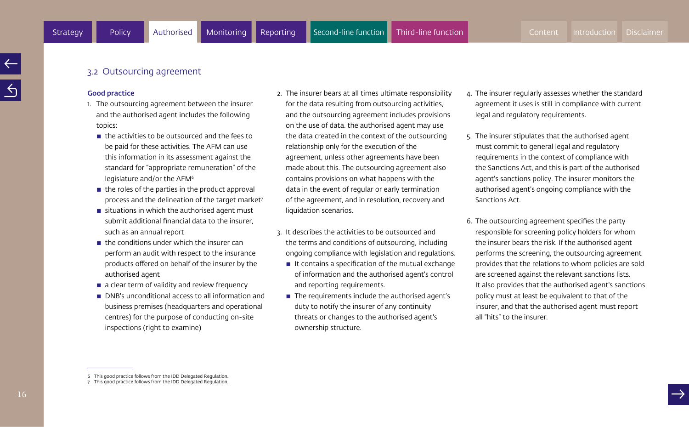#### 3.2 Outsourcing agreement

#### Good practice

- 1. The outsourcing agreement between the insurer and the authorised agent includes the following topics:
	- $\blacksquare$  the activities to be outsourced and the fees to be paid for these activities. The AFM can use this information in its assessment against the standard for "appropriate remuneration" of the legislature and/or the AFM<sup>6</sup>
	- $\blacksquare$  the roles of the parties in the product approval process and the delineation of the target market<sup>7</sup>
	- $\blacksquare$  situations in which the authorised agent must submit additional financial data to the insurer, such as an annual report
	- $\blacksquare$  the conditions under which the insurer can perform an audit with respect to the insurance products offered on behalf of the insurer by the authorised agent
	- $\blacksquare$  a clear term of validity and review frequency
	- DNB's unconditional access to all information and business premises (headquarters and operational centres) for the purpose of conducting on-site inspections (right to examine)
- 2. The insurer bears at all times ultimate responsibility for the data resulting from outsourcing activities, and the outsourcing agreement includes provisions on the use of data. the authorised agent may use the data created in the context of the outsourcing relationship only for the execution of the agreement, unless other agreements have been made about this. The outsourcing agreement also contains provisions on what happens with the data in the event of regular or early termination of the agreement, and in resolution, recovery and liquidation scenarios.
- 3. It describes the activities to be outsourced and the terms and conditions of outsourcing, including ongoing compliance with legislation and regulations.
	- $\blacksquare$  It contains a specification of the mutual exchange of information and the authorised agent's control and reporting requirements.
	- $\blacksquare$  The requirements include the authorised agent's duty to notify the insurer of any continuity threats or changes to the authorised agent's ownership structure.
- 4. The insurer regularly assesses whether the standard agreement it uses is still in compliance with current legal and regulatory requirements.
- 5. The insurer stipulates that the authorised agent must commit to general legal and regulatory requirements in the context of compliance with the Sanctions Act, and this is part of the authorised agent's sanctions policy. The insurer monitors the authorised agent's ongoing compliance with the Sanctions Act.
- 6. The outsourcing agreement specifies the party responsible for screening policy holders for whom the insurer bears the risk. If the authorised agent performs the screening, the outsourcing agreement provides that the relations to whom policies are sold are screened against the relevant sanctions lists. It also provides that the authorised agent's sanctions policy must at least be equivalent to that of the insurer, and that the authorised agent must report all "hits" to the insurer.

<sup>6</sup> This good practice follows from the IDD Delegated Regulation. 7 This good practice follows from the IDD Delegated Regulation.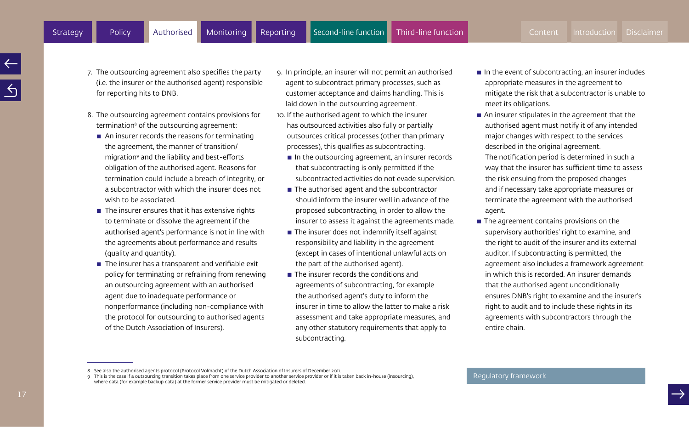- 7. The outsourcing agreement also specifies the party (i.e. the insurer or the authorised agent) responsible for reporting hits to DNB.
- 8. The outsourcing agreement contains provisions for termination<sup>8</sup> of the outsourcing agreement:
	- $\blacksquare$  An insurer records the reasons for terminating the agreement, the manner of transition/ migration9 and the liability and best-efforts obligation of the authorised agent. Reasons for termination could include a breach of integrity, or a subcontractor with which the insurer does not wish to be associated.
	- $\blacksquare$  The insurer ensures that it has extensive rights to terminate or dissolve the agreement if the authorised agent's performance is not in line with the agreements about performance and results (quality and quantity).
	- $\blacksquare$  The insurer has a transparent and verifiable exit policy for terminating or refraining from renewing an outsourcing agreement with an authorised agent due to inadequate performance or nonperformance (including non-compliance with the protocol for outsourcing to authorised agents of the Dutch Association of Insurers).
- 9. In principle, an insurer will not permit an authorised agent to subcontract primary processes, such as customer acceptance and claims handling. This is laid down in the outsourcing agreement.
- 10. If the authorised agent to which the insurer has outsourced activities also fully or partially outsources critical processes (other than primary processes), this qualifies as subcontracting.
	- $\blacksquare$  In the outsourcing agreement, an insurer records that subcontracting is only permitted if the subcontracted activities do not evade supervision.
	- $\blacksquare$  The authorised agent and the subcontractor should inform the insurer well in advance of the proposed subcontracting, in order to allow the insurer to assess it against the agreements made.
	- $\blacksquare$  The insurer does not indemnify itself against responsibility and liability in the agreement (except in cases of intentional unlawful acts on the part of the authorised agent).
	- $\blacksquare$  The insurer records the conditions and agreements of subcontracting, for example the authorised agent's duty to inform the insurer in time to allow the latter to make a risk assessment and take appropriate measures, and any other statutory requirements that apply to subcontracting.
- $\blacksquare$  In the event of subcontracting, an insurer includes appropriate measures in the agreement to mitigate the risk that a subcontractor is unable to meet its obligations.
- $\blacksquare$  An insurer stipulates in the agreement that the authorised agent must notify it of any intended major changes with respect to the services described in the original agreement. The notification period is determined in such a way that the insurer has sufficient time to assess the risk ensuing from the proposed changes and if necessary take appropriate measures or terminate the agreement with the authorised agent.
- $\blacksquare$  The agreement contains provisions on the supervisory authorities' right to examine, and the right to audit of the insurer and its external auditor. If subcontracting is permitted, the agreement also includes a framework agreement in which this is recorded. An insurer demands that the authorised agent unconditionally ensures DNB's right to examine and the insurer's right to audit and to include these rights in its agreements with subcontractors through the entire chain.

<sup>8</sup> See also the authorised agents protocol (Protocol Volmacht) of the Dutch Association of Insurers of December 2011.

<sup>9</sup> This is the case if a outsourcing transition takes place from one service provider to another service provider or if it is taken back in-house (insourcing), where data (for example backup data) at the former service provider must be mitigated or deleted.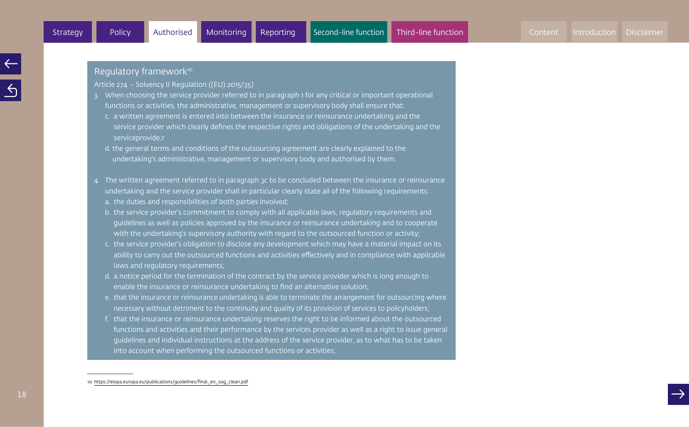#### Regulatory framework<sup>10</sup>

Article 274 – Solvency II Regulation ((EU) 2015/35)

- 3. When choosing the service provider referred to in paragraph 1 for any critical or important operational functions or activities, the administrative, management or supervisory body shall ensure that:
	- c. a written agreement is entered into between the insurance or reinsurance undertaking and the service provider which clearly defines the respective rights and obligations of the undertaking and the serviceprovide;r
	- d. the general terms and conditions of the outsourcing agreement are clearly explained to the undertaking's administrative, management or supervisory body and authorised by them.
- 4. The written agreement referred to in paragraph 3c to be concluded between the insurance or reinsurance undertaking and the service provider shall in particular clearly state all of the following requirements: a. the duties and responsibilities of both parties involved;
	- b. the service provider's commitment to comply with all applicable laws, regulatory requirements and guidelines as well as policies approved by the insurance or reinsurance undertaking and to cooperate with the undertaking's supervisory authority with regard to the outsourced function or activity;
	- c. the service provider's obligation to disclose any development which may have a material impact on its ability to carry out the outsourced functions and activities effectively and in compliance with applicable laws and regulatory requirements;
	- d. a notice period for the termination of the contract by the service provider which is long enough to enable the insurance or reinsurance undertaking to find an alternative solution;
	- e. that the insurance or reinsurance undertaking is able to terminate the arrangement for outsourcing where necessary without detriment to the continuity and quality of its provision of services to policyholders;
	- f. that the insurance or reinsurance undertaking reserves the right to be informed about the outsourced functions and activities and their performance by the services provider as well as a right to issue general guidelines and individual instructions at the address of the service provider, as to what has to be taken into account when performing the outsourced functions or activities;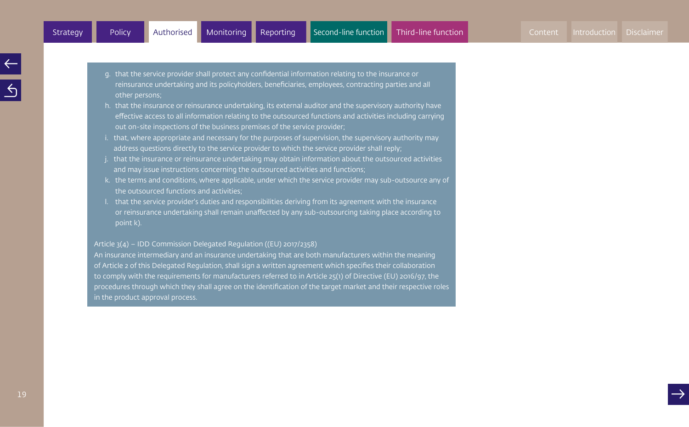- g. that the service provider shall protect any confidential information relating to the insurance or reinsurance undertaking and its policyholders, beneficiaries, employees, contracting parties and all other persons;
- h. that the insurance or reinsurance undertaking, its external auditor and the supervisory authority have effective access to all information relating to the outsourced functions and activities including carrying out on-site inspections of the business premises of the service provider;
- i. that, where appropriate and necessary for the purposes of supervision, the supervisory authority may address questions directly to the service provider to which the service provider shall reply;
- j. that the insurance or reinsurance undertaking may obtain information about the outsourced activities and may issue instructions concerning the outsourced activities and functions;
- k. the terms and conditions, where applicable, under which the service provider may sub-outsource any of the outsourced functions and activities;
- l. that the service provider's duties and responsibilities deriving from its agreement with the insurance or reinsurance undertaking shall remain unaffected by any sub-outsourcing taking place according to point k).

Article 3(4) – IDD Commission Delegated Regulation ((EU) 2017/2358)

An insurance intermediary and an insurance undertaking that are both manufacturers within the meaning of Article 2 of this Delegated Regulation, shall sign a written agreement which specifies their collaboration to comply with the requirements for manufacturers referred to in Article 25(1) of Directive (EU) 2016/97, the procedures through which they shall agree on the identification of the target market and their respective roles in the product approval process.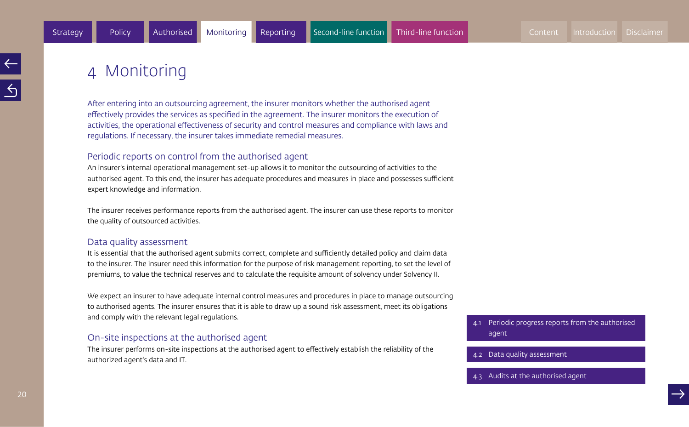## 4 Monitoring

After entering into an outsourcing agreement, the insurer monitors whether the authorised agent effectively provides the services as specified in the agreement. The insurer monitors the execution of activities, the operational effectiveness of security and control measures and compliance with laws and regulations. If necessary, the insurer takes immediate remedial measures.

#### Periodic reports on control from the authorised agent

An insurer's internal operational management set-up allows it to monitor the outsourcing of activities to the authorised agent. To this end, the insurer has adequate procedures and measures in place and possesses sufficient expert knowledge and information.

The insurer receives performance reports from the authorised agent. The insurer can use these reports to monitor the quality of outsourced activities.

#### Data quality assessment

It is essential that the authorised agent submits correct, complete and sufficiently detailed policy and claim data to the insurer. The insurer need this information for the purpose of risk management reporting, to set the level of premiums, to value the technical reserves and to calculate the requisite amount of solvency under Solvency II.

We expect an insurer to have adequate internal control measures and procedures in place to manage outsourcing to authorised agents. The insurer ensures that it is able to draw up a sound risk assessment, meet its obligations and comply with the relevant legal regulations.

#### On-site inspections at the authorised agent

The insurer performs on-site inspections at the authorised agent to effectively establish the reliability of the authorized agent's data and IT.

- 4.1 Periodic progress reports from the authorised agent
- 

4.2 Data quality assessment<br>4.3 Audits at the authorised agent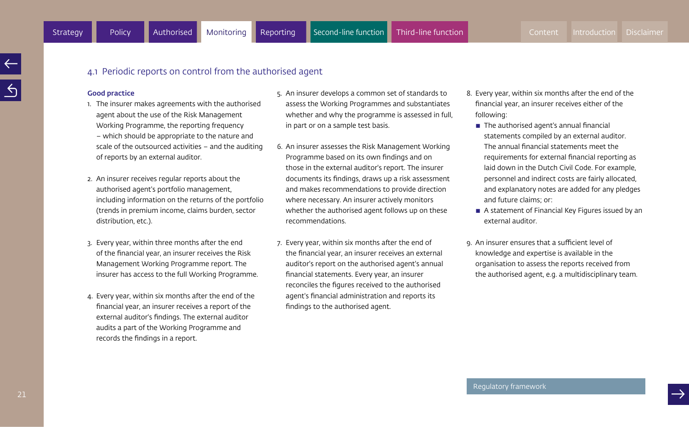#### 4.1 Periodic reports on control from the authorised agent

#### Good practice

- 1. The insurer makes agreements with the authorised agent about the use of the Risk Management Working Programme, the reporting frequency – which should be appropriate to the nature and scale of the outsourced activities – and the auditing of reports by an external auditor.
- 2. An insurer receives regular reports about the authorised agent's portfolio management, including information on the returns of the portfolio (trends in premium income, claims burden, sector distribution, etc.).
- 3. Every year, within three months after the end of the financial year, an insurer receives the Risk Management Working Programme report. The insurer has access to the full Working Programme.
- 4. Every year, within six months after the end of the financial year, an insurer receives a report of the external auditor's findings. The external auditor audits a part of the Working Programme and records the findings in a report.
- 5. An insurer develops a common set of standards to assess the Working Programmes and substantiates whether and why the programme is assessed in full, in part or on a sample test basis.
- 6. An insurer assesses the Risk Management Working Programme based on its own findings and on those in the external auditor's report. The insurer documents its findings, draws up a risk assessment and makes recommendations to provide direction where necessary. An insurer actively monitors whether the authorised agent follows up on these recommendations.
- 7. Every year, within six months after the end of the financial year, an insurer receives an external auditor's report on the authorised agent's annual financial statements. Every year, an insurer reconciles the figures received to the authorised agent's financial administration and reports its findings to the authorised agent.
- 8. Every year, within six months after the end of the financial year, an insurer receives either of the following:
	- $\blacksquare$  The authorised agent's annual financial statements compiled by an external auditor. The annual financial statements meet the requirements for external financial reporting as laid down in the Dutch Civil Code. For example, personnel and indirect costs are fairly allocated, and explanatory notes are added for any pledges and future claims; or:
	- $\blacksquare$  A statement of Financial Key Figures issued by an external auditor.
- 9. An insurer ensures that a sufficient level of knowledge and expertise is available in the organisation to assess the reports received from the authorised agent, e.g. a multidisciplinary team.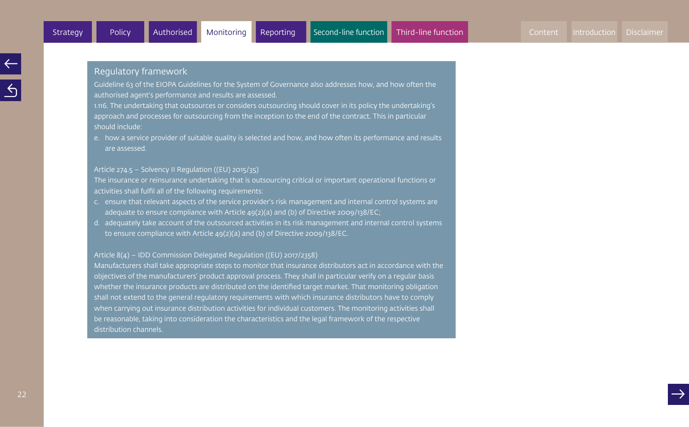Guideline 63 of the EIOPA Guidelines for the System of Governance also addresses how, and how often the authorised agent's performance and results are assessed.

1.116. The undertaking that outsources or considers outsourcing should cover in its policy the undertaking's approach and processes for outsourcing from the inception to the end of the contract. This in particular should include:

e. how a service provider of suitable quality is selected and how, and how often its performance and results are assessed.

#### Article 274.5 – Solvency II Regulation ((EU) 2015/35)

The insurance or reinsurance undertaking that is outsourcing critical or important operational functions or activities shall fulfil all of the following requirements:

- c. ensure that relevant aspects of the service provider's risk management and internal control systems are adequate to ensure compliance with Article 49(2)(a) and (b) of Directive 2009/138/EC;
- d. adequately take account of the outsourced activities in its risk management and internal control systems to ensure compliance with Article 49(2)(a) and (b) of Directive 2009/138/EC.

#### Article 8(4) – IDD Commission Delegated Regulation ((EU) 2017/2358)

Manufacturers shall take appropriate steps to monitor that insurance distributors act in accordance with the objectives of the manufacturers' product approval process. They shall in particular verify on a regular basis whether the insurance products are distributed on the identified target market. That monitoring obligation shall not extend to the general regulatory requirements with which insurance distributors have to comply when carrying out insurance distribution activities for individual customers. The monitoring activities shall be reasonable, taking into consideration the characteristics and the legal framework of the respective distribution channels.

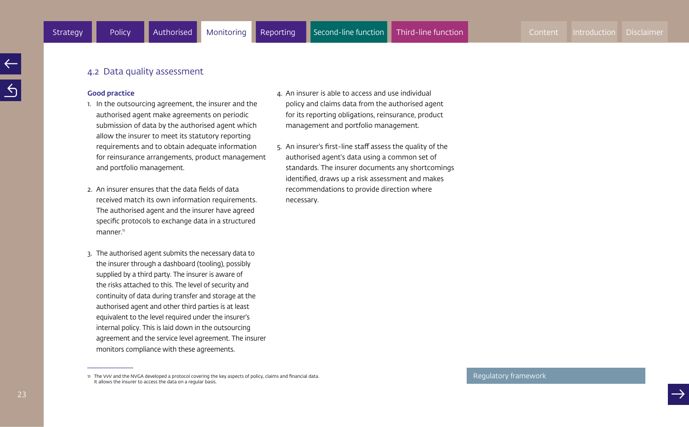#### 4.2 Data quality assessment

#### Good practice

- 1. In the outsourcing agreement, the insurer and the authorised agent make agreements on periodic submission of data by the authorised agent which allow the insurer to meet its statutory reporting requirements and to obtain adequate information for reinsurance arrangements, product management and portfolio management.
- 2. An insurer ensures that the data fields of data received match its own information requirements. The authorised agent and the insurer have agreed specific protocols to exchange data in a structured  $m$ anner $\mathfrak{n}$
- 3. The authorised agent submits the necessary data to the insurer through a dashboard (tooling), possibly supplied by a third party. The insurer is aware of the risks attached to this. The level of security and continuity of data during transfer and storage at the authorised agent and other third parties is at least equivalent to the level required under the insurer's internal policy. This is laid down in the outsourcing agreement and the service level agreement. The insurer monitors compliance with these agreements.
- 4. An insurer is able to access and use individual policy and claims data from the authorised agent for its reporting obligations, reinsurance, product management and portfolio management.
- 5. An insurer's first-line staff assess the quality of the authorised agent's data using a common set of standards. The insurer documents any shortcomings identified, draws up a risk assessment and makes recommendations to provide direction where necessary.

<sup>11</sup> The VvV and the NVGA developed a protocol covering the key aspects of policy, claims and financial data. It allows the insurer to access the data on a regular basis.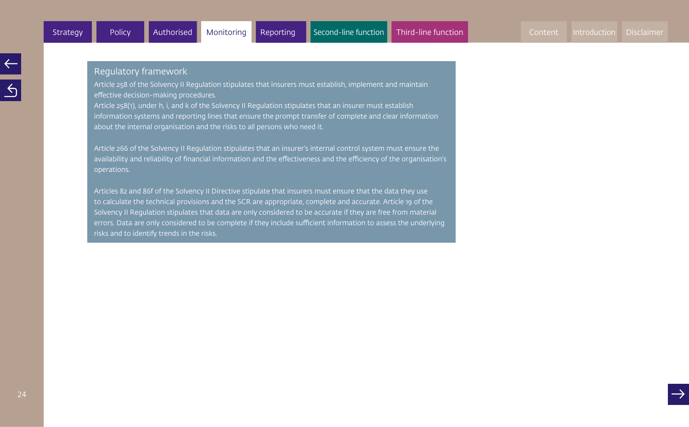Article 258 of the Solvency II Regulation stipulates that insurers must establish, implement and maintain effective decision-making procedures.

Article 258(1), under h, i, and k of the Solvency II Regulation stipulates that an insurer must establish information systems and reporting lines that ensure the prompt transfer of complete and clear information about the internal organisation and the risks to all persons who need it.

Article 266 of the Solvency II Regulation stipulates that an insurer's internal control system must ensure the availability and reliability of financial information and the effectiveness and the efficiency of the organisation's operations.

Articles 82 and 86f of the Solvency II Directive stipulate that insurers must ensure that the data they use to calculate the technical provisions and the SCR are appropriate, complete and accurate. Article 19 of the Solvency II Regulation stipulates that data are only considered to be accurate if they are free from material errors. Data are only considered to be complete if they include sufficient information to assess the underlying risks and to identify trends in the risks.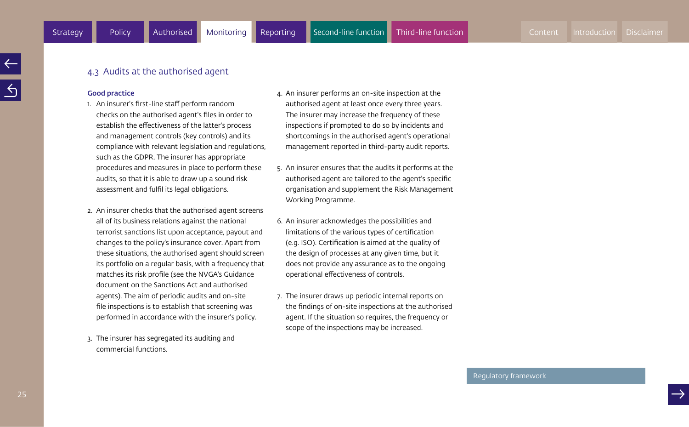#### 4.3 Audits at the authorised agent

#### Good practice

- 1. An insurer's first-line staff perform random checks on the authorised agent's files in order to establish the effectiveness of the latter's process and management controls (key controls) and its compliance with relevant legislation and regulations, such as the GDPR. The insurer has appropriate procedures and measures in place to perform these audits, so that it is able to draw up a sound risk assessment and fulfil its legal obligations.
- 2. An insurer checks that the authorised agent screens all of its business relations against the national terrorist sanctions list upon acceptance, payout and changes to the policy's insurance cover. Apart from these situations, the authorised agent should screen its portfolio on a regular basis, with a frequency that matches its risk profile (see the NVGA's Guidance document on the Sanctions Act and authorised agents). The aim of periodic audits and on-site file inspections is to establish that screening was performed in accordance with the insurer's policy.
- 3. The insurer has segregated its auditing and commercial functions.
- 4. An insurer performs an on-site inspection at the authorised agent at least once every three years. The insurer may increase the frequency of these inspections if prompted to do so by incidents and shortcomings in the authorised agent's operational management reported in third-party audit reports.
- 5. An insurer ensures that the audits it performs at the authorised agent are tailored to the agent's specific organisation and supplement the Risk Management Working Programme.
- 6. An insurer acknowledges the possibilities and limitations of the various types of certification (e.g. ISO). Certification is aimed at the quality of the design of processes at any given time, but it does not provide any assurance as to the ongoing operational effectiveness of controls.
- 7. The insurer draws up periodic internal reports on the findings of on-site inspections at the authorised agent. If the situation so requires, the frequency or scope of the inspections may be increased.

#### Regulatory framework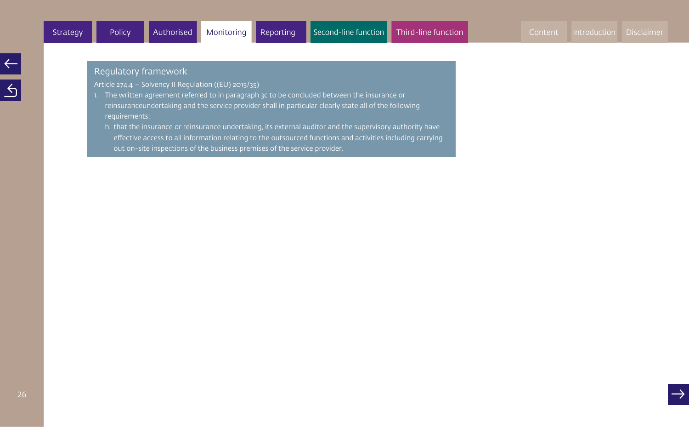$\leq$ 

#### Regulatory framework

Article 274.4 – Solvency II Regulation ((EU) 2015/35)

- 1. The written agreement referred to in paragraph 3c to be concluded between the insurance or reinsuranceundertaking and the service provider shall in particular clearly state all of the following requirements:
	- h. that the insurance or reinsurance undertaking, its external auditor and the supervisory authority have effective access to all information relating to the outsourced functions and activities including carrying out on-site inspections of the business premises of the service provider.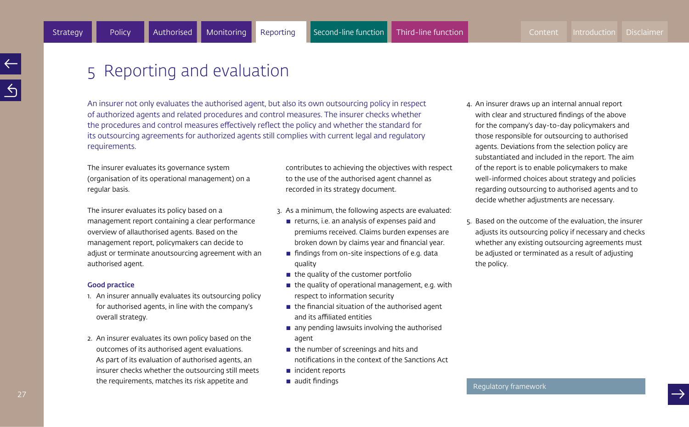## 5 Reporting and evaluation

An insurer not only evaluates the authorised agent, but also its own outsourcing policy in respect of authorized agents and related procedures and control measures. The insurer checks whether the procedures and control measures effectively reflect the policy and whether the standard for its outsourcing agreements for authorized agents still complies with current legal and regulatory requirements.

The insurer evaluates its governance system (organisation of its operational management) on a regular basis.

The insurer evaluates its policy based on a management report containing a clear performance overview of allauthorised agents. Based on the management report, policymakers can decide to adjust or terminate anoutsourcing agreement with an authorised agent.

#### Good practice

- 1. An insurer annually evaluates its outsourcing policy for authorised agents, in line with the company's overall strategy.
- 2. An insurer evaluates its own policy based on the outcomes of its authorised agent evaluations. As part of its evaluation of authorised agents, an insurer checks whether the outsourcing still meets the requirements, matches its risk appetite and

contributes to achieving the objectives with respect to the use of the authorised agent channel as recorded in its strategy document.

- 3. As a minimum, the following aspects are evaluated:
	- $\blacksquare$  returns, i.e. an analysis of expenses paid and premiums received. Claims burden expenses are broken down by claims year and financial year.
	- $\blacksquare$  findings from on-site inspections of e.g. data quality
	- $\blacksquare$  the quality of the customer portfolio
	- $\blacksquare$  the quality of operational management, e.g. with respect to information security
	- $\blacksquare$  the financial situation of the authorised agent and its affiliated entities
	- $\blacksquare$  any pending lawsuits involving the authorised agent
	- $\blacksquare$  the number of screenings and hits and notifications in the context of the Sanctions Act
	- $\blacksquare$  incident reports
	- $\blacksquare$  audit findings
- 4. An insurer draws up an internal annual report with clear and structured findings of the above for the company's day-to-day policymakers and those responsible for outsourcing to authorised agents. Deviations from the selection policy are substantiated and included in the report. The aim of the report is to enable policymakers to make well-informed choices about strategy and policies regarding outsourcing to authorised agents and to decide whether adjustments are necessary.
- 5. Based on the outcome of the evaluation, the insurer adjusts its outsourcing policy if necessary and checks whether any existing outsourcing agreements must be adjusted or terminated as a result of adjusting the policy.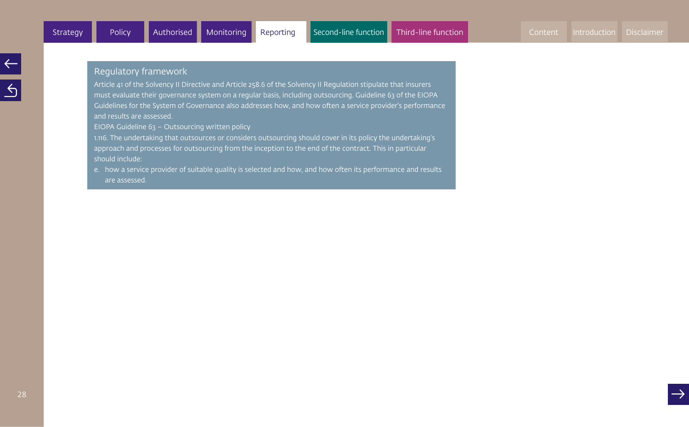Article 41 of the Solvency II Directive and Article 258.6 of the Solvency II Regulation stipulate that insurers must evaluate their governance system on a regular basis, including outsourcing. Guideline 63 of the EIOPA Guidelines for the System of Governance also addresses how, and how often a service provider's performance and results are assessed.

EIOPA Guideline 63 – Outsourcing written policy

1.116. The undertaking that outsources or considers outsourcing should cover in its policy the undertaking's approach and processes for outsourcing from the inception to the end of the contract. This in particular should include:

e. how a service provider of suitable quality is selected and how, and how often its performance and results are assessed.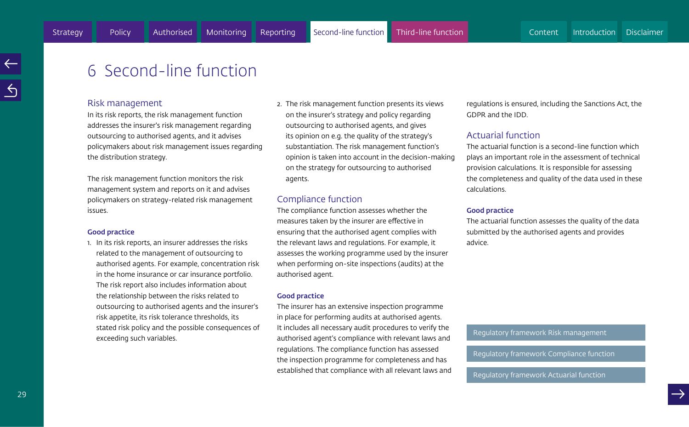## 6 Second-line function

#### Risk management

In its risk reports, the risk management function addresses the insurer's risk management regarding outsourcing to authorised agents, and it advises policymakers about risk management issues regarding the distribution strategy.

The risk management function monitors the risk management system and reports on it and advises policymakers on strategy-related risk management issues.

#### Good practice

1. In its risk reports, an insurer addresses the risks related to the management of outsourcing to authorised agents. For example, concentration risk in the home insurance or car insurance portfolio. The risk report also includes information about the relationship between the risks related to outsourcing to authorised agents and the insurer's risk appetite, its risk tolerance thresholds, its stated risk policy and the possible consequences of exceeding such variables.

2. The risk management function presents its views on the insurer's strategy and policy regarding outsourcing to authorised agents, and gives its opinion on e.g. the quality of the strategy's substantiation. The risk management function's opinion is taken into account in the decision-making on the strategy for outsourcing to authorised agents.

#### Compliance function

The compliance function assesses whether the measures taken by the insurer are effective in ensuring that the authorised agent complies with the relevant laws and regulations. For example, it assesses the working programme used by the insurer when performing on-site inspections (audits) at the authorised agent.

#### Good practice

The insurer has an extensive inspection programme in place for performing audits at authorised agents. It includes all necessary audit procedures to verify the authorised agent's compliance with relevant laws and regulations. The compliance function has assessed the inspection programme for completeness and has established that compliance with all relevant laws and regulations is ensured, including the Sanctions Act, the GDPR and the IDD.

#### Actuarial function

The actuarial function is a second-line function which plays an important role in the assessment of technical provision calculations. It is responsible for assessing the completeness and quality of the data used in these calculations.

#### Good practice

The actuarial function assesses the quality of the data submitted by the authorised agents and provides advice.

#### Regulatory framework Risk management

Regulatory framework Compliance function<br>Regulatory framework Actuarial function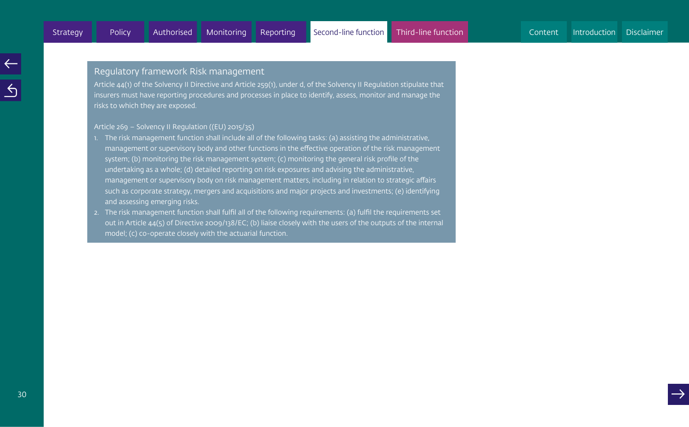#### Regulatory framework Risk management

Article 44(1) of the Solvency II Directive and Article 259(1), under d, of the Solvency II Regulation stipulate that insurers must have reporting procedures and processes in place to identify, assess, monitor and manage the risks to which they are exposed.

#### Article 269 – Solvency II Regulation ((EU) 2015/35)

- 1. The risk management function shall include all of the following tasks: (a) assisting the administrative, management or supervisory body and other functions in the effective operation of the risk management system; (b) monitoring the risk management system; (c) monitoring the general risk profile of the undertaking as a whole; (d) detailed reporting on risk exposures and advising the administrative, management or supervisory body on risk management matters, including in relation to strategic affairs such as corporate strategy, mergers and acquisitions and major projects and investments; (e) identifying and assessing emerging risks.
- 2. The risk management function shall fulfil all of the following requirements: (a) fulfil the requirements set out in Article 44(5) of Directive 2009/138/EC; (b) liaise closely with the users of the outputs of the internal model; (c) co-operate closely with the actuarial function.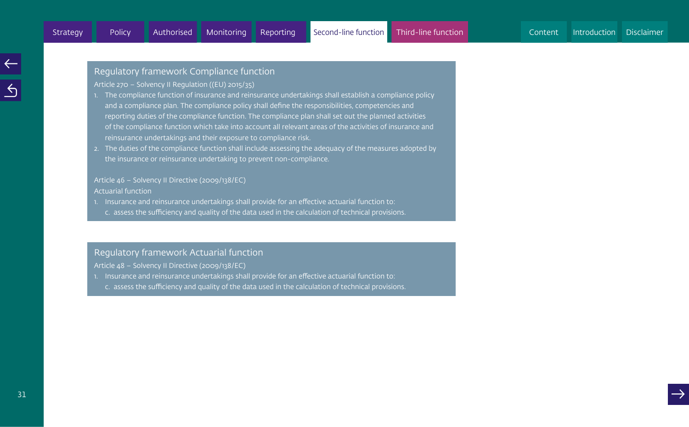#### Regulatory framework Compliance function

Article 270 – Solvency II Regulation ((EU) 2015/35)

- 1. The compliance function of insurance and reinsurance undertakings shall establish a compliance policy and a compliance plan. The compliance policy shall define the responsibilities, competencies and reporting duties of the compliance function. The compliance plan shall set out the planned activities of the compliance function which take into account all relevant areas of the activities of insurance and reinsurance undertakings and their exposure to compliance risk.
- 2. The duties of the compliance function shall include assessing the adequacy of the measures adopted by the insurance or reinsurance undertaking to prevent non-compliance.

### Article 46 – Solvency II Directive (2009/138/EC)

Actuarial function

- 1. Insurance and reinsurance undertakings shall provide for an effective actuarial function to:
- c. assess the sufficiency and quality of the data used in the calculation of technical provisions.

#### Regulatory framework Actuarial function

- Article 48 Solvency II Directive (2009/138/EC)
- 1. Insurance and reinsurance undertakings shall provide for an effective actuarial function to:
- c. assess the sufficiency and quality of the data used in the calculation of technical provisions.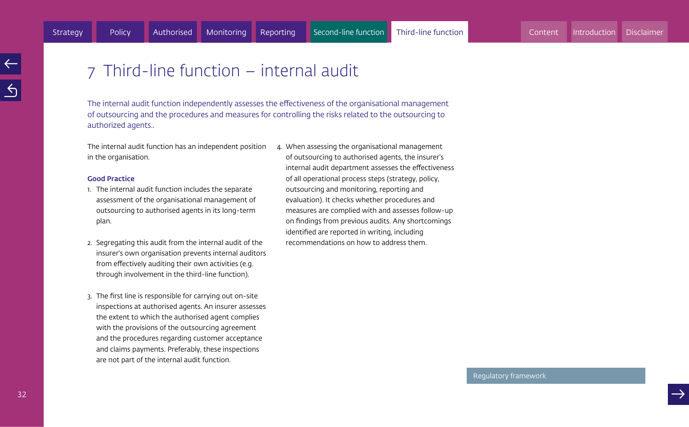## 7 Third-line function – internal audit

The internal audit function independently assesses the effectiveness of the organisational management of outsourcing and the procedures and measures for controlling the risks related to the outsourcing to authorized agents..

The internal audit function has an independent position in the organisation.

#### Good Practice

- 1. The internal audit function includes the separate assessment of the organisational management of outsourcing to authorised agents in its long-term plan.
- 2. Segregating this audit from the internal audit of the insurer's own organisation prevents internal auditors from effectively auditing their own activities (e.g. through involvement in the third-line function).
- 3. The first line is responsible for carrying out on-site inspections at authorised agents. An insurer assesses the extent to which the authorised agent complies with the provisions of the outsourcing agreement and the procedures regarding customer acceptance and claims payments. Preferably, these inspections are not part of the internal audit function.

4. When assessing the organisational management of outsourcing to authorised agents, the insurer's internal audit department assesses the effectiveness of all operational process steps (strategy, policy, outsourcing and monitoring, reporting and evaluation). It checks whether procedures and measures are complied with and assesses follow-up on findings from previous audits. Any shortcomings identified are reported in writing, including recommendations on how to address them.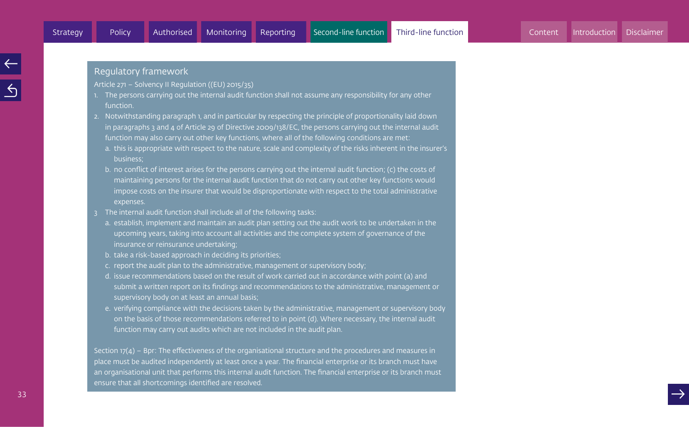Article 271 – Solvency II Regulation ((EU) 2015/35)

- 1. The persons carrying out the internal audit function shall not assume any responsibility for any other function.
- 2. Notwithstanding paragraph 1, and in particular by respecting the principle of proportionality laid down in paragraphs 3 and 4 of Article 29 of Directive 2009/138/EC, the persons carrying out the internal audit function may also carry out other key functions, where all of the following conditions are met:
	- a. this is appropriate with respect to the nature, scale and complexity of the risks inherent in the insurer's business;
	- b. no conflict of interest arises for the persons carrying out the internal audit function; (c) the costs of maintaining persons for the internal audit function that do not carry out other key functions would impose costs on the insurer that would be disproportionate with respect to the total administrative expenses.
- 3 The internal audit function shall include all of the following tasks:
	- a. establish, implement and maintain an audit plan setting out the audit work to be undertaken in the upcoming years, taking into account all activities and the complete system of governance of the insurance or reinsurance undertaking;
	- b. take a risk-based approach in deciding its priorities;
	- c. report the audit plan to the administrative, management or supervisory body;
	- d. issue recommendations based on the result of work carried out in accordance with point (a) and submit a written report on its findings and recommendations to the administrative, management or supervisory body on at least an annual basis;
	- e. verifying compliance with the decisions taken by the administrative, management or supervisory body on the basis of those recommendations referred to in point (d). Where necessary, the internal audit function may carry out audits which are not included in the audit plan.

Section  $17(4)$  – Bpr: The effectiveness of the organisational structure and the procedures and measures in place must be audited independently at least once a year. The financial enterprise or its branch must have an organisational unit that performs this internal audit function. The financial enterprise or its branch must ensure that all shortcomings identified are resolved.